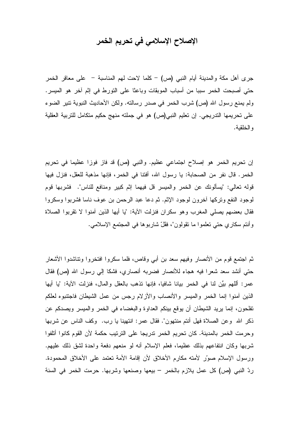## الإصلاح الإسلامي في تحريم الخمر

جرى أهل مكة والمدينة أيام النبي (ص) – كلما لاحت لهم المناسبة – على معاقر الخمر حتى أصبحت الخمر سببا من أسباب الموبقات وباعثا على النورط في إثم آخر هو الميسر. ولم يمنع رسول الله (ص) شرب الخمر في صدر رسالته. ولكن الأحاديث النبوية تنير الضوء على تحريمها الندريجي. إن تعليم النبي(ص) هو في جملته منهج حكيم متكامل للتربية العقلية والخلقية.

إن تحريم الخمر هو إصلاح اجتماعي عظيم. والنبي (ص) قد فاز فوزا عظيما في تحريم الخمر . قال نفر من الصحابة: يا رسول الله، أفتنا في الخمر ، فإنها مذهبة للعقل، فنزل فيها قوله تعالى: "يسألونك عن الخمر والميسر قل فيهما إثم كبير ومنافع للناس". فشربها قوم لموجود النفع ونزكها أخرون لوجود الإثم. ثم دعا عبد الرحمن بن عوف ناسا فشربوا وسكروا فقال بعضهم يصلى المغرب وهو سكران فنزلت الأية: "يا أيها الذين آمنوا لا تقربوا الصلاة وأنتم سكاري حتى نعلموا ما نقولون"، فقلّ شاربوها في المجتمع الإسلامي.

ثم اجتمع قوم من الأنصار وفيهم سعد بن أبي وقاص، فلما سكروا افتخروا وتناشدوا الأشعار حتى أنشد سعد شعرًا فيه هجاء للأنصار فضربه أنصاري، فشكا إلى رسول الله (ص) فقال عمر : أللهم بيِّن لنا في الخمر بيانا شافيا، فإنها تذهب بالعقل والمال، فنزلت الآية: "يا أيها الذين أمنوا إنما الخمر والمبسر والأنصاب والأزلام رجس من عمل الشيطان فاجتنبوه لعلكم تفلحون، إنما يريد الشيطان أن يوقع بينكم العداوة والبغضاء في الخمر والميسر ويصدكم عن ذكر الله ۖ وعن الصلاة فهل أنتم منتهون". فقال عمر: انتهينا يا رب. ۖ وكف الناس عن شربها وحرمت الخمر بالمدينة. كان تحريم الخمر تدريجا على الترتيب حكمة لأن القوم كانوا أتلفوا شربها وكان انتفاعهم بذلك عظيما، فعلم الإسلام أنه لو منعهم دفعة واحدة لشق ذلك عليهم. ورسول الإسلام صوَّر لأمته مكارم الأخلاق لأن إقامة الأمة تعتمد على الأخلاق المحمودة. ردِّ النبي (ص) كل عمل بلازم بالخمر – بيعها وصنعها وشربها. حرمت الخمر في السنة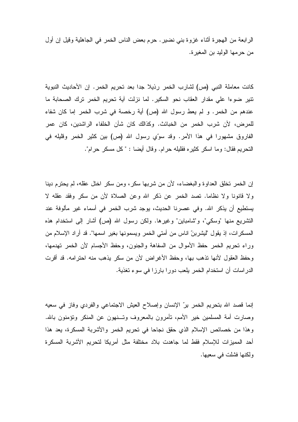الرابعة من الـهجرة أثناء غزوة بنـي نضير . حرم بعض النـاس الـخمر فـي الـجاهلية وقيل إن أول من حر مها الوليد بن المغير ة.

كانت معاملة النبي (ص) لشارب الخمر رذيلا جدا بعد نحريم الخمر . إن الأحاديث النبوية تتير ضوءا على مقدار العقاب نحو السكير. لما نزلت آية تحريم الخمر ترك الصحابة ما عندهم من الخمر . و لم يعط رسول الله (ص) أية رخصة في شرب الخمر إما كان شفاء للمرض، لأن شرب الخمر من الخبائث. وكذالك كان شأن الخلفاء الراشدين، كان عمر الفاروق مشهورا في هذا الأمر. وقد سوِّي رسول الله (ص) بين كثير الخمر وقليله في النَّحريم فقال: وما اسكر كثيره فقليله حرام. وقال أيضا : "كل مسكر حرام".

إن الخمر \_تخلق العداو ة و البغضباء، لأن من شر بها سكر ، ومن سكر \_اختل عقله، لم بحتر م دبنا \_\_\_\_\_\_\_\_\_ ولا قانونا ولا نظاما. تصد الخمر عن ذكر الله وعن الصلاة لأن من سكر وفقد عقله لا يستطيع أن يذكر الله. وفي عصرنا الحديث، يوجد شرب الخمر في أسماء غير مألوفة عند التشريع منها "وسكي"، و"شامباين" وغيرها. ولكن رسول الله (ص) أشار إلىي استخدام هذه المسكرات، إذ يقول "ليشربنّ اناس من أمتى الخمر ويسمونها بغير اسمها". قد أراد الإسلام من وراء تحريم الخمر حفظ الأموال من السفاهة والجنون، وحفظ الأجسام لأن الخمر تهدمها، وحفظ العقول لأنها نذهب بها، وحفظ الأغراض لأن من سكر يذهب منه احترامه. قد أقرت الدر اسات أن استخدام الخمر يلعب دورا بارزا في سوء تغذية.

إنما قصد الله بتحريم الخمر برِّ الإنسان وإصلاح العيش الاجتماعي والفردي وفازٍ في سعيه وصارت أمة المسلمين خير الأمم، نأمرون بالمعروف وتــنهون عن المنكر ونؤمنون بالله. وهذا من خصائص الإسلام الذي حقق نجاحا في تحريم الخمر والأشربة المسكرة، يعد هذا أحد الممبز ات للاسلام فقط لما جاهدت بلاد مختلفة مثل أمربكا لتحريم الأشربة المسكر ة ولكنها فشلت في سعيها.